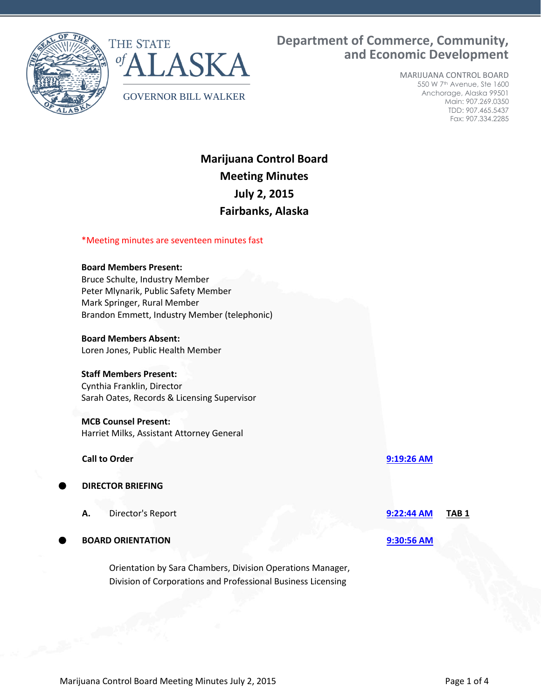



# **Department of Commerce, Community, and Economic Development**

MARIJUANA CONTROL BOARD 550 W 7th Avenue, Ste 1600 Anchorage, Alaska 99501 Main: 907.269.0350 TDD: 907.465.5437 Fax: 907.334.2285

# **Marijuana Control Board Meeting Minutes July 2, 2015 Fairbanks, Alaska**

# \*Meeting minutes are seventeen minutes fast

### **Board Members Present:**

Bruce Schulte, Industry Member Peter Mlynarik, Public Safety Member Mark Springer, Rural Member Brandon Emmett, Industry Member (telephonic)

#### **Board Members Absent:**

Loren Jones, Public Health Member

#### **Staff Members Present:**

Cynthia Franklin, Director Sarah Oates, Records & Licensing Supervisor

# **MCB Counsel Present:**

Harriet Milks, Assistant Attorney General

#### **Call to Order [9:19:26 AM](ftr://?location="ABC Board"?date="02-Jul-2015"?position="09:19:26"?Data="e446bf6a")**

# **DIRECTOR BRIEFING**

**A.** Director's Report **[9:22:44 AM](ftr://?location="ABC Board"?date="02-Jul-2015"?position="09:22:44"?Data="1768bdfb") TAB 1**

**BOARD ORIENTATION [9:30:56 AM](ftr://?location="ABC Board"?date="02-Jul-2015"?position="09:30:56"?Data="e96d3a87")**

Orientation by Sara Chambers, Division Operations Manager, Division of Corporations and Professional Business Licensing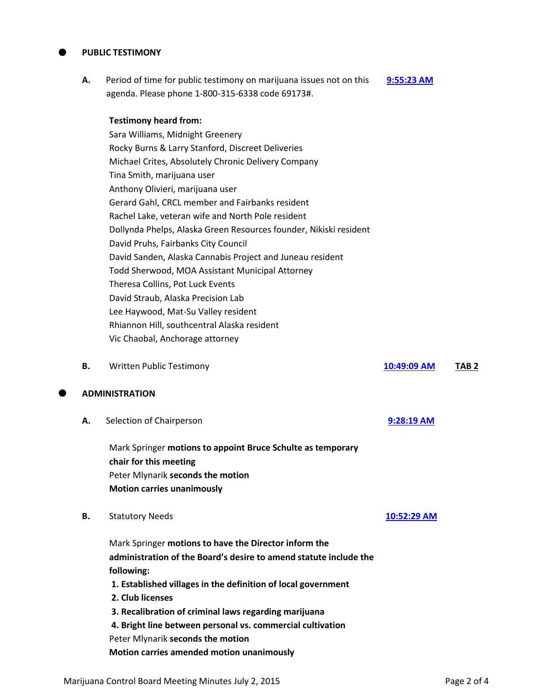### **PUBLIC TESTIMONY**

**A.** Period of time for public testimony on marijuana issues not on this agenda. Please phone 1-800-315-6338 code 69173#. **[9:55:23 AM](ftr://?location="ABC Board"?date="02-Jul-2015"?position="09:55:23"?Data="caa294a9")**

### **Testimony heard from:**

Sara Williams, Midnight Greenery Rocky Burns & Larry Stanford, Discreet Deliveries Michael Crites, Absolutely Chronic Delivery Company Tina Smith, marijuana user Anthony Olivieri, marijuana user Gerard Gahl, CRCL member and Fairbanks resident Rachel Lake, veteran wife and North Pole resident Dollynda Phelps, Alaska Green Resources founder, Nikiski resident David Pruhs, Fairbanks City Council David Sanden, Alaska Cannabis Project and Juneau resident Todd Sherwood, MOA Assistant Municipal Attorney Theresa Collins, Pot Luck Events David Straub, Alaska Precision Lab Lee Haywood, Mat-Su Valley resident Rhiannon Hill, southcentral Alaska resident Vic Chaobal, Anchorage attorney

**B.** Written Public Testimony **[10:49:09 AM](ftr://?location="ABC Board"?date="02-Jul-2015"?position="10:49:09"?Data="5b67c118") TAB 2**

#### **ADMINISTRATION**

**A.** Selection of Chairperson **[9:28:19 AM](ftr://?location="ABC Board"?date="02-Jul-2015"?position="09:28:19"?Data="a2ed645c")**

Mark Springer **motions to appoint Bruce Schulte as temporary chair for this meeting** Peter Mlynarik **seconds the motion Motion carries unanimously**

**B.** Statutory Needs **[10:52:29 AM](ftr://?location="ABC Board"?date="02-Jul-2015"?position="10:52:29"?Data="75ead78b")** 

Mark Springer **motions to have the Director inform the administration of the Board's desire to amend statute include the following: 1. Established villages in the definition of local government 2. Club licenses 3. Recalibration of criminal laws regarding marijuana 4. Bright line between personal vs. commercial cultivation**  Peter Mlynarik **seconds the motion Motion carries amended motion unanimously**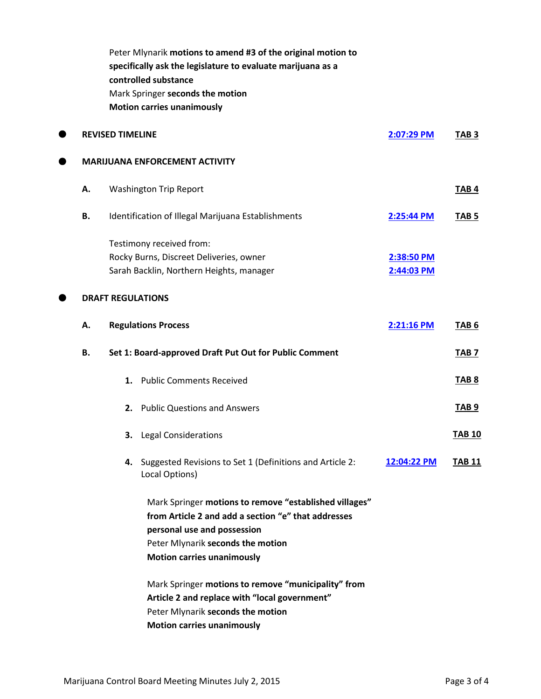|                         |                          | Peter Mlynarik motions to amend #3 of the original motion to<br>specifically ask the legislature to evaluate marijuana as a<br>controlled substance |             |                  |
|-------------------------|--------------------------|-----------------------------------------------------------------------------------------------------------------------------------------------------|-------------|------------------|
|                         |                          | Mark Springer seconds the motion                                                                                                                    |             |                  |
|                         |                          | <b>Motion carries unanimously</b>                                                                                                                   |             |                  |
| <b>REVISED TIMELINE</b> |                          |                                                                                                                                                     | 2:07:29 PM  | TAB <sub>3</sub> |
|                         |                          | <b>MARIJUANA ENFORCEMENT ACTIVITY</b>                                                                                                               |             |                  |
| Α.                      |                          | <b>Washington Trip Report</b>                                                                                                                       |             | <b>TAB4</b>      |
| В.                      |                          | Identification of Illegal Marijuana Establishments                                                                                                  | 2:25:44 PM  | TAB <sub>5</sub> |
|                         | Testimony received from: |                                                                                                                                                     |             |                  |
|                         |                          | Rocky Burns, Discreet Deliveries, owner                                                                                                             | 2:38:50 PM  |                  |
|                         |                          | Sarah Backlin, Northern Heights, manager                                                                                                            | 2:44:03 PM  |                  |
|                         |                          | <b>DRAFT REGULATIONS</b>                                                                                                                            |             |                  |
| А.                      |                          | <b>Regulations Process</b>                                                                                                                          | 2:21:16 PM  | TAB <sub>6</sub> |
| В.                      |                          | Set 1: Board-approved Draft Put Out for Public Comment                                                                                              |             | <b>TAB 7</b>     |
|                         |                          | 1. Public Comments Received                                                                                                                         |             | <b>TAB 8</b>     |
|                         | 2.                       | <b>Public Questions and Answers</b>                                                                                                                 |             | <b>TAB 9</b>     |
|                         | З.                       | <b>Legal Considerations</b>                                                                                                                         |             | <b>TAB 10</b>    |
|                         |                          | 4. Suggested Revisions to Set 1 (Definitions and Article 2:<br>Local Options)                                                                       | 12:04:22 PM | <b>TAB 11</b>    |
|                         |                          | Mark Springer motions to remove "established villages"                                                                                              |             |                  |
|                         |                          | from Article 2 and add a section "e" that addresses                                                                                                 |             |                  |
|                         |                          | personal use and possession                                                                                                                         |             |                  |
|                         |                          | Peter Mlynarik seconds the motion<br><b>Motion carries unanimously</b>                                                                              |             |                  |
|                         |                          | Mark Springer motions to remove "municipality" from                                                                                                 |             |                  |
|                         |                          | Article 2 and replace with "local government"                                                                                                       |             |                  |
|                         |                          | Peter Mlynarik seconds the motion                                                                                                                   |             |                  |
|                         |                          | <b>Motion carries unanimously</b>                                                                                                                   |             |                  |